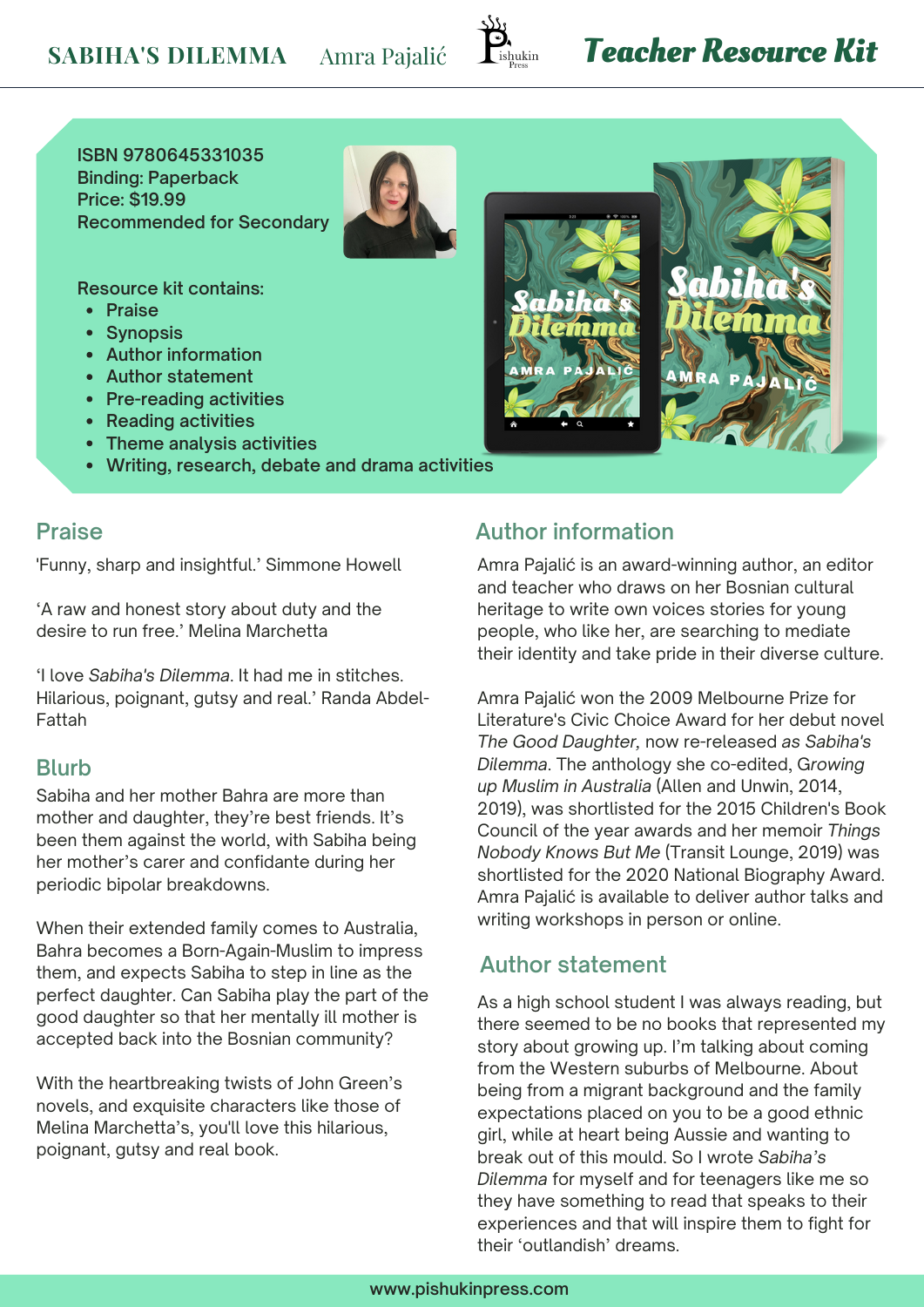

# **Teacher Resource Kit**

 $707$ 

**ISBN 9780645331035 Binding: Paperback Price: \$19.99 Recommended for Secondary**

**Resource kit contains:**

- **Praise**
- **Synopsis**
- **Author information**
- **Author statement**
- **Pre-reading activities**
- **Reading activities**
- **Theme analysis activities**
- **Writing, research, debate and drama activities**

#### **Praise**

'Funny, sharp and insightful.' Simmone Howell

'A raw and honest story about duty and the desire to run free.' Melina Marchetta

'I love *Sabiha's Dilemma*. It had me in stitches. Hilarious, poignant, gutsy and real.' Randa Abdel-Fattah

#### **Blurb**

Sabiha and her mother Bahra are more than mother and daughter, they're best friends. It's been them against the world, with Sabiha being her mother's carer and confidante during her periodic bipolar breakdowns.

When their extended family comes to Australia, Bahra becomes a Born-Again-Muslim to impress them, and expects Sabiha to step in line as the perfect daughter. Can Sabiha play the part of the good daughter so that her mentally ill mother is accepted back into the Bosnian community?

With the heartbreaking twists of John Green's novels, and exquisite characters like those of Melina Marchetta's, you'll love this hilarious, poignant, gutsy and real book.

#### **Author information**

amha

Amra Pajalić is an award-winning author, an editor and teacher who draws on her Bosnian cultural heritage to write own voices stories for young people, who like her, are searching to mediate their identity and take pride in their diverse culture.

Amra Pajalić won the 2009 Melbourne Prize for Literature's Civic Choice Award for her debut novel *The Good Daughter,* now re-released *as Sabiha's Dilemma*. The anthology she co-edited, G*rowing up Muslim in Australia* (Allen and Unwin, 2014, 2019), was shortlisted for the 2015 Children's Book Council of the year awards and her memoir *Things Nobody Knows But Me* (Transit Lounge, 2019) was shortlisted for the 2020 National Biography Award. Amra Pajalić is available to deliver author talks and writing workshops in person or online.

#### **Author statement**

As a high school student I was always reading, but there seemed to be no books that represented my story about growing up. I'm talking about coming from the Western suburbs of Melbourne. About being from a migrant background and the family expectations placed on you to be a good ethnic girl, while at heart being Aussie and wanting to break out of this mould. So I wrote *Sabiha's Dilemma* for myself and for teenagers like me so they have something to read that speaks to their experiences and that will inspire them to fight for their 'outlandish' dreams.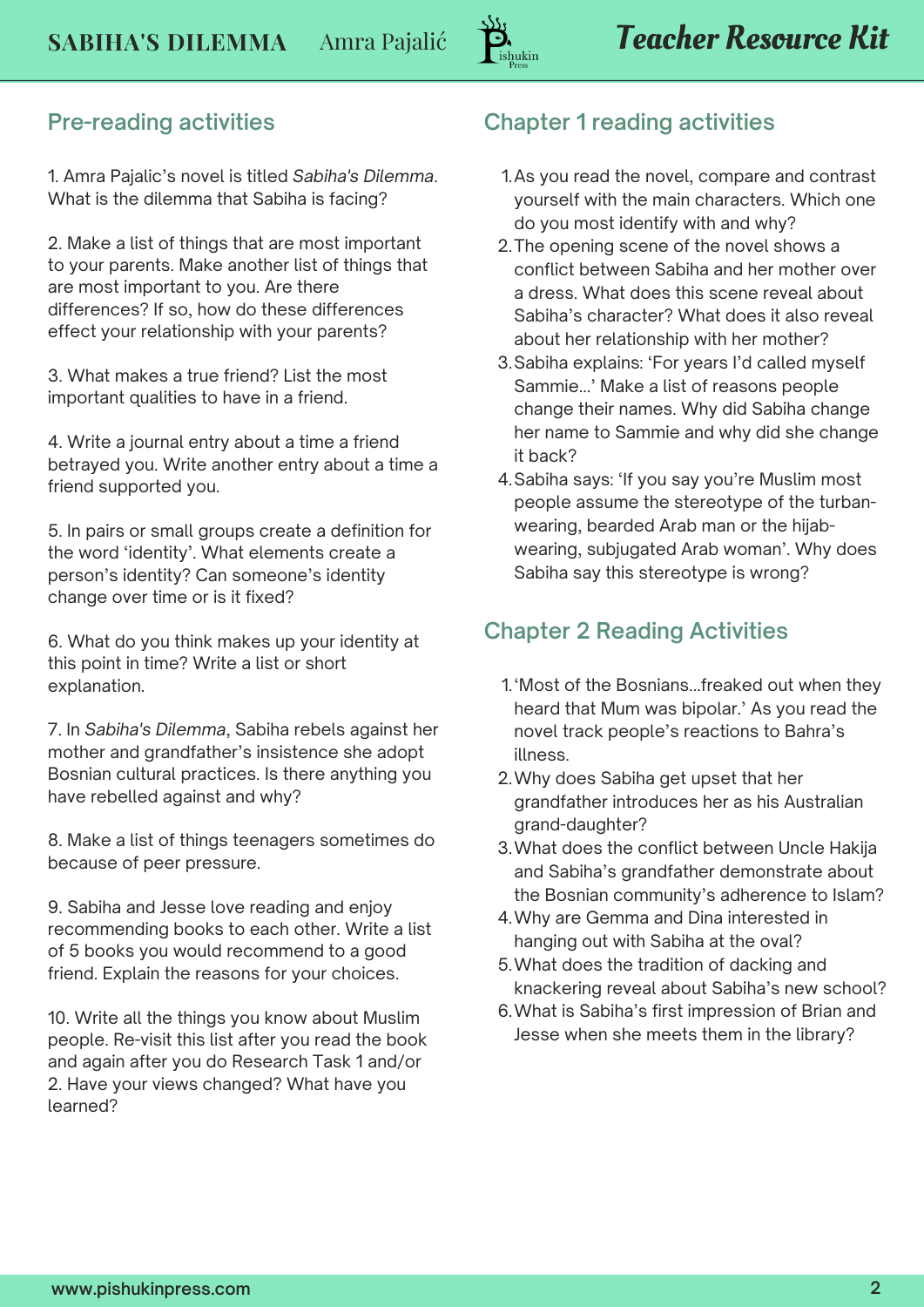#### **Pre-reading activities**

1. Amra Pajalic's novel is titled *Sabiha's Dilemma*. What is the dilemma that Sabiha is facing?

2. Make a list of things that are most important to your parents. Make another list of things that are most important to you. Are there differences? If so, how do these differences effect your relationship with your parents?

3. What makes a true friend? List the most important qualities to have in a friend.

4. Write a journal entry about a time a friend betrayed you. Write another entry about a time a friend supported you.

5. In pairs or small groups create a definition for the word 'identity'. What elements create a person's identity? Can someone's identity change over time or is it fixed?

6. What do you think makes up your identity at this point in time? Write a list or short explanation.

7. In *Sabiha's Dilemma*, Sabiha rebels against her mother and grandfather's insistence she adopt Bosnian cultural practices. Is there anything you have rebelled against and why?

8. Make a list of things teenagers sometimes do because of peer pressure.

9. Sabiha and Jesse love reading and enjoy recommending books to each other. Write a list of 5 books you would recommend to a good friend. Explain the reasons for your choices.

10. Write all the things you know about Muslim people. Re-visit this list after you read the book and again after you do Research Task 1 and/or 2. Have your views changed? What have you learned?

#### **Chapter 1 reading activities**

- As you read the novel, compare and contrast 1. yourself with the main characters. Which one do you most identify with and why?
- 2. The opening scene of the novel shows a conflict between Sabiha and her mother over a dress. What does this scene reveal about Sabiha's character? What does it also reveal about her relationship with her mother?
- Sabiha explains: 'For years I'd called myself 3. Sammie...' Make a list of reasons people change their names. Why did Sabiha change her name to Sammie and why did she change it back?
- 4.Sabiha says: 'If you say you're Muslim most people assume the stereotype of the turbanwearing, bearded Arab man or the hijabwearing, subjugated Arab woman'. Why does Sabiha say this stereotype is wrong?

#### **Chapter 2 Reading Activities**

- 'Most of the Bosnians...freaked out when they 1. heard that Mum was bipolar.' As you read the novel track people's reactions to Bahra's illness.
- Why does Sabiha get upset that her 2. grandfather introduces her as his Australian grand-daughter?
- What does the conflict between Uncle Hakija 3. and Sabiha's grandfather demonstrate about the Bosnian community's adherence to Islam?
- Why are Gemma and Dina interested in 4. hanging out with Sabiha at the oval?
- What does the tradition of dacking and 5. knackering reveal about Sabiha's new school?
- What is Sabiha's first impression of Brian and 6. Jesse when she meets them in the library?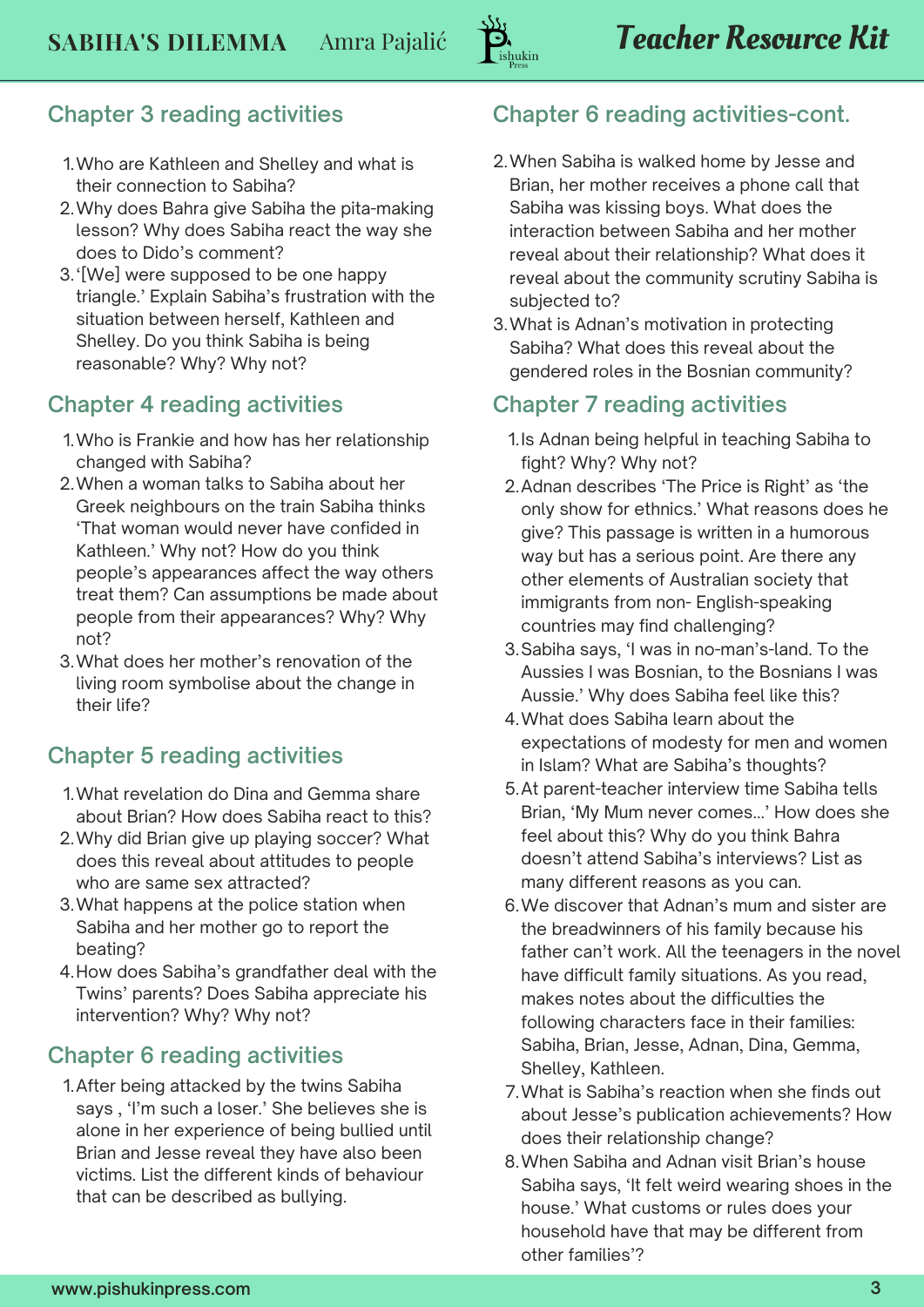### **Chapter 3 reading activities**

- Who are Kathleen and Shelley and what is 1. their connection to Sabiha?
- Why does Bahra give Sabiha the pita-making 2. lesson? Why does Sabiha react the way she does to Dido's comment?
- 3. '[We] were supposed to be one happy triangle.' Explain Sabiha's frustration with the situation between herself, Kathleen and Shelley. Do you think Sabiha is being reasonable? Why? Why not?

### **Chapter 4 reading activities**

- Who is Frankie and how has her relationship 1. changed with Sabiha?
- When a woman talks to Sabiha about her 2. Greek neighbours on the train Sabiha thinks 'That woman would never have confided in Kathleen.' Why not? How do you think people's appearances affect the way others treat them? Can assumptions be made about people from their appearances? Why? Why not?
- What does her mother's renovation of the 3. living room symbolise about the change in their life?

### **Chapter 5 reading activities**

- What revelation do Dina and Gemma share 1. about Brian? How does Sabiha react to this?
- Why did Brian give up playing soccer? What 2. does this reveal about attitudes to people who are same sex attracted?
- What happens at the police station when 3. Sabiha and her mother go to report the beating?
- How does Sabiha's grandfather deal with the 4. Twins' parents? Does Sabiha appreciate his intervention? Why? Why not?

## **Chapter 6 reading activities**

After being attacked by the twins Sabiha 1. says , 'I'm such a loser.' She believes she is alone in her experience of being bullied until Brian and Jesse reveal they have also been victims. List the different kinds of behaviour that can be described as bullying.

# **Chapter 6 reading activities-cont.**

- When Sabiha is walked home by Jesse and 2. Brian, her mother receives a phone call that Sabiha was kissing boys. What does the interaction between Sabiha and her mother reveal about their relationship? What does it reveal about the community scrutiny Sabiha is subjected to?
- What is Adnan's motivation in protecting 3. Sabiha? What does this reveal about the gendered roles in the Bosnian community?

### **Chapter 7 reading activities**

- 1.Is Adnan being helpful in teaching Sabiha to fight? Why? Why not?
- 2.Adnan describes 'The Price is Right' as 'the only show for ethnics.' What reasons does he give? This passage is written in a humorous way but has a serious point. Are there any other elements of Australian society that immigrants from non- English-speaking countries may find challenging?
- Sabiha says, 'I was in no-man's-land. To the 3. Aussies I was Bosnian, to the Bosnians I was Aussie.' Why does Sabiha feel like this?
- What does Sabiha learn about the 4. expectations of modesty for men and women in Islam? What are Sabiha's thoughts?
- 5. At parent-teacher interview time Sabiha tells Brian, 'My Mum never comes...' How does she feel about this? Why do you think Bahra doesn't attend Sabiha's interviews? List as many different reasons as you can.
- We discover that Adnan's mum and sister are 6. the breadwinners of his family because his father can't work. All the teenagers in the novel have difficult family situations. As you read, makes notes about the difficulties the following characters face in their families: Sabiha, Brian, Jesse, Adnan, Dina, Gemma, Shelley, Kathleen.
- What is Sabiha's reaction when she finds out 7. about Jesse's publication achievements? How does their relationship change?
- When Sabiha and Adnan visit Brian's house 8. Sabiha says, 'It felt weird wearing shoes in the house.' What customs or rules does your household have that may be different from other families'?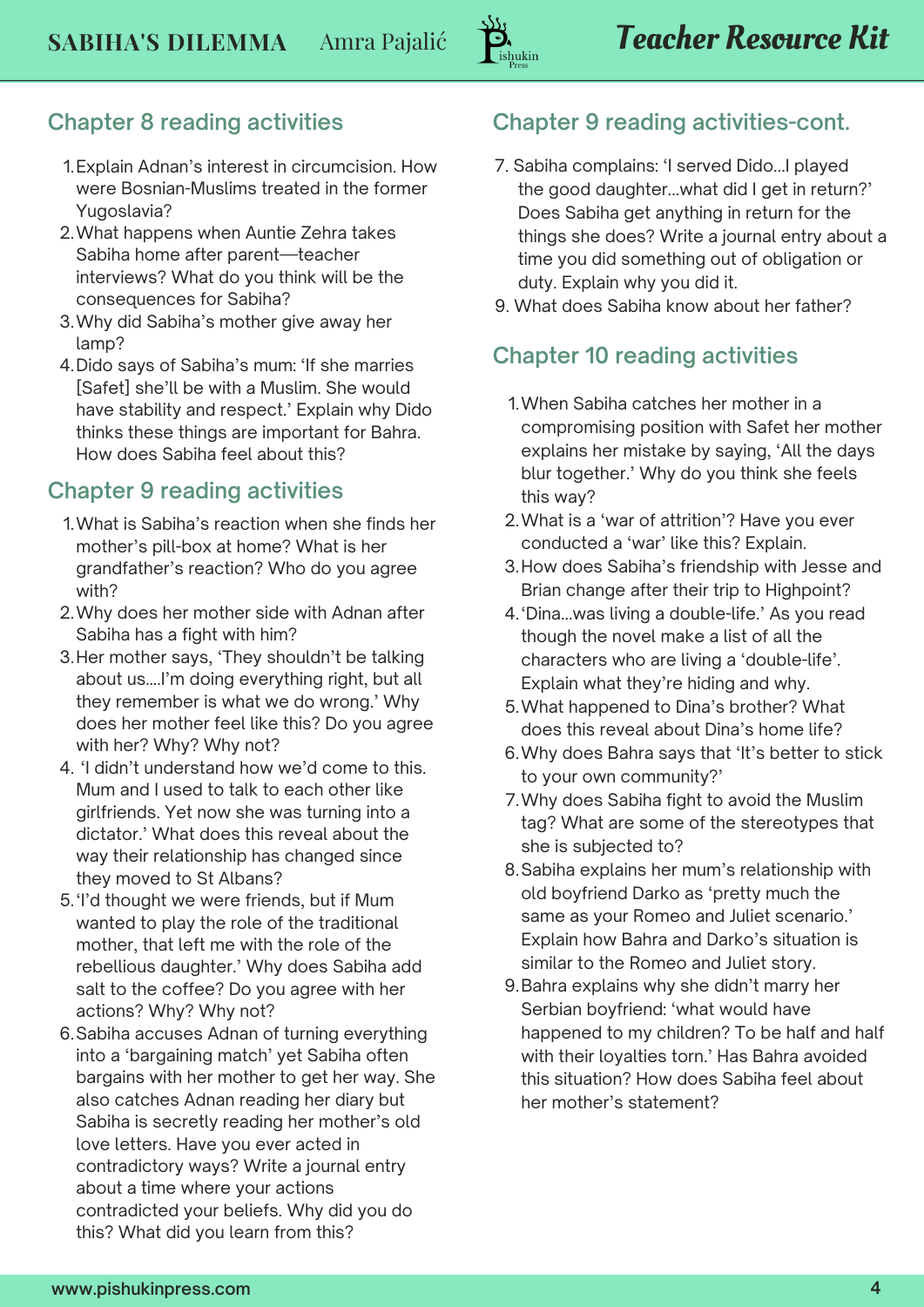

#### **Chapter 8 reading activities**

- Explain Adnan's interest in circumcision. How 1. were Bosnian-Muslims treated in the former Yugoslavia?
- What happens when Auntie Zehra takes 2. Sabiha home after parent—teacher interviews? What do you think will be the consequences for Sabiha?
- Why did Sabiha's mother give away her 3. lamp?
- 4.Dido says of Sabiha's mum: 'If she marries [Safet] she'll be with a Muslim. She would have stability and respect.' Explain why Dido thinks these things are important for Bahra. How does Sabiha feel about this?

#### **Chapter 9 reading activities**

- What is Sabiha's reaction when she finds her 1. mother's pill-box at home? What is her grandfather's reaction? Who do you agree with?
- Why does her mother side with Adnan after 2. Sabiha has a fight with him?
- 3.Her mother says, 'They shouldn't be talking about us….I'm doing everything right, but all they remember is what we do wrong.' Why does her mother feel like this? Do you agree with her? Why? Why not?
- 'I didn't understand how we'd come to this. 4. Mum and I used to talk to each other like girlfriends. Yet now she was turning into a dictator.' What does this reveal about the way their relationship has changed since they moved to St Albans?
- 5. I'd thought we were friends, but if Mum wanted to play the role of the traditional mother, that left me with the role of the rebellious daughter.' Why does Sabiha add salt to the coffee? Do you agree with her actions? Why? Why not?
- Sabiha accuses Adnan of turning everything 6. into a 'bargaining match' yet Sabiha often bargains with her mother to get her way. She also catches Adnan reading her diary but Sabiha is secretly reading her mother's old love letters. Have you ever acted in contradictory ways? Write a journal entry about a time where your actions contradicted your beliefs. Why did you do this? What did you learn from this?

#### **Chapter 9 reading activities-cont.**

- 7. Sabiha complains: 'I served Dido...I played the good daughter...what did I get in return?' Does Sabiha get anything in return for the things she does? Write a journal entry about a time you did something out of obligation or duty. Explain why you did it.
- 9. What does Sabiha know about her father?

#### **Chapter 10 reading activities**

- When Sabiha catches her mother in a 1. compromising position with Safet her mother explains her mistake by saying, 'All the days blur together.' Why do you think she feels this way?
- What is a 'war of attrition'? Have you ever 2. conducted a 'war' like this? Explain.
- 3. How does Sabiha's friendship with Jesse and Brian change after their trip to Highpoint?
- 4. 'Dina...was living a double-life.' As you read though the novel make a list of all the characters who are living a 'double-life'. Explain what they're hiding and why.
- What happened to Dina's brother? What 5. does this reveal about Dina's home life?
- Why does Bahra says that 'It's better to stick 6. to your own community?'
- Why does Sabiha fight to avoid the Muslim 7. tag? What are some of the stereotypes that she is subjected to?
- Sabiha explains her mum's relationship with 8. old boyfriend Darko as 'pretty much the same as your Romeo and Juliet scenario.' Explain how Bahra and Darko's situation is similar to the Romeo and Juliet story.
- Bahra explains why she didn't marry her 9. Serbian boyfriend: 'what would have happened to my children? To be half and half with their loyalties torn.' Has Bahra avoided this situation? How does Sabiha feel about her mother's statement?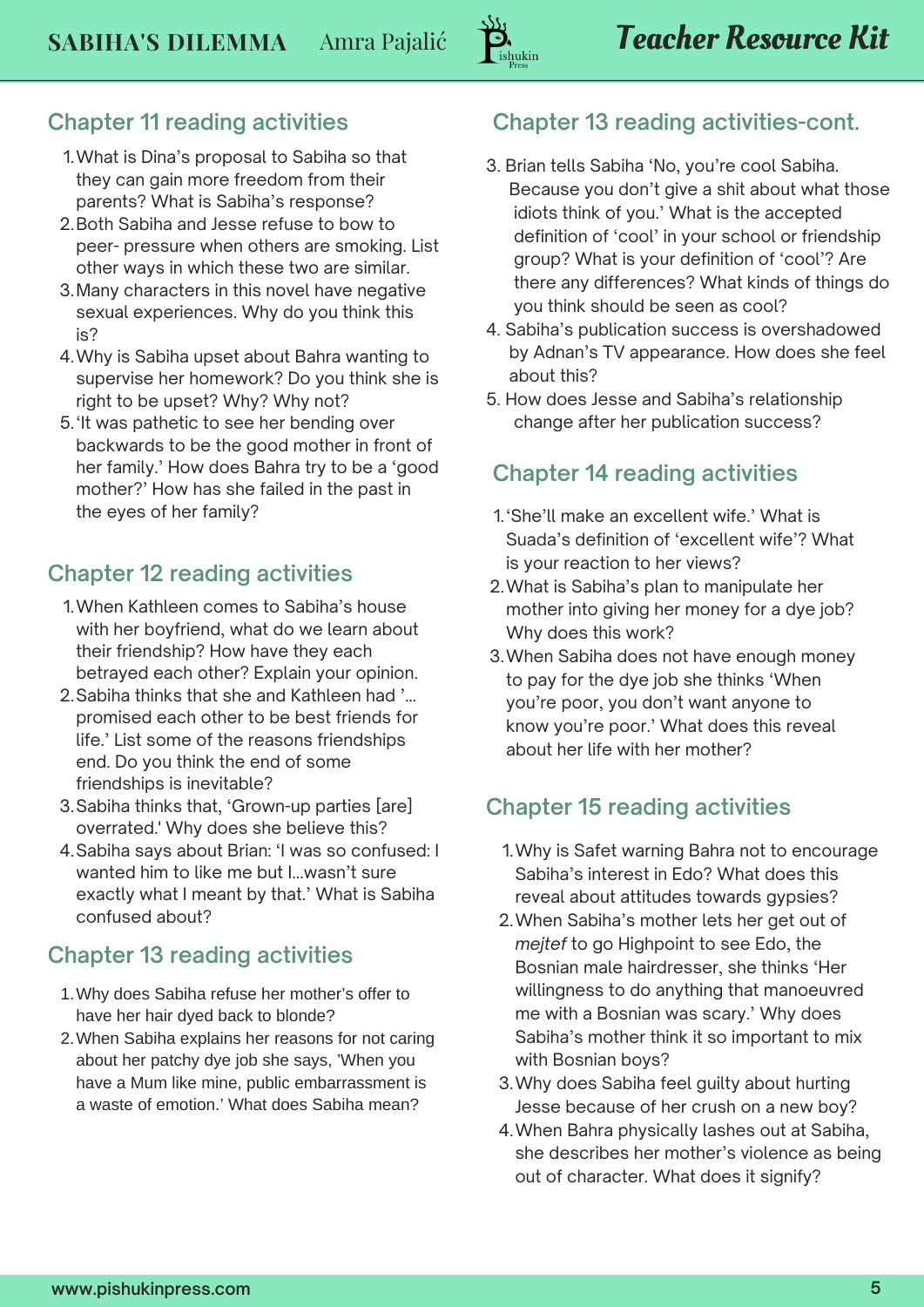## **Chapter 11 reading activities**

- What is Dina's proposal to Sabiha so that 1. they can gain more freedom from their parents? What is Sabiha's response?
- 2.Both Sabiha and Jesse refuse to bow to peer- pressure when others are smoking. List other ways in which these two are similar.
- Many characters in this novel have negative 3. sexual experiences. Why do you think this is?
- Why is Sabiha upset about Bahra wanting to 4. supervise her homework? Do you think she is right to be upset? Why? Why not?
- 5.'It was pathetic to see her bending over backwards to be the good mother in front of her family.' How does Bahra try to be a 'good mother?' How has she failed in the past in the eyes of her family?

### **Chapter 12 reading activities**

- When Kathleen comes to Sabiha's house 1. with her boyfriend, what do we learn about their friendship? How have they each betrayed each other? Explain your opinion.
- 2. Sabiha thinks that she and Kathleen had '... promised each other to be best friends for life.' List some of the reasons friendships end. Do you think the end of some friendships is inevitable?
- Sabiha thinks that, 'Grown-up parties [are] 3. overrated.' Why does she believe this?
- 4.Sabiha says about Brian: 'I was so confused: I wanted him to like me but I...wasn't sure exactly what I meant by that.' What is Sabiha confused about?

### **Chapter 13 reading activities**

- Why does Sabiha refuse her mother's offer to 1. have her hair dyed back to blonde?
- When Sabiha explains her reasons for not caring 2. about her patchy dye job she says, 'When you have a Mum like mine, public embarrassment is a waste of emotion.' What does Sabiha mean?

## **Chapter 13 reading activities-cont.**

- 3. Brian tells Sabiha 'No, you're cool Sabiha. Because you don't give a shit about what those idiots think of you.' What is the accepted definition of 'cool' in your school or friendship group? What is your definition of 'cool'? Are there any differences? What kinds of things do you think should be seen as cool?
- 4. Sabiha's publication success is overshadowed by Adnan's TV appearance. How does she feel about this?
- 5. How does Jesse and Sabiha's relationship change after her publication success?

#### **Chapter 14 reading activities**

- 1.'She'll make an excellent wife.' What is Suada's definition of 'excellent wife'? What is your reaction to her views?
- What is Sabiha's plan to manipulate her 2. mother into giving her money for a dye job? Why does this work?
- When Sabiha does not have enough money 3. to pay for the dye job she thinks 'When you're poor, you don't want anyone to know you're poor.' What does this reveal about her life with her mother?

## **Chapter 15 reading activities**

- Why is Safet warning Bahra not to encourage 1. Sabiha's interest in Edo? What does this reveal about attitudes towards gypsies?
- When Sabiha's mother lets her get out of 2. *mejtef* to go Highpoint to see Edo, the Bosnian male hairdresser, she thinks 'Her willingness to do anything that manoeuvred me with a Bosnian was scary.' Why does Sabiha's mother think it so important to mix with Bosnian boys?
- Why does Sabiha feel guilty about hurting 3. Jesse because of her crush on a new boy?
- When Bahra physically lashes out at Sabiha, 4. she describes her mother's violence as being out of character. What does it signify?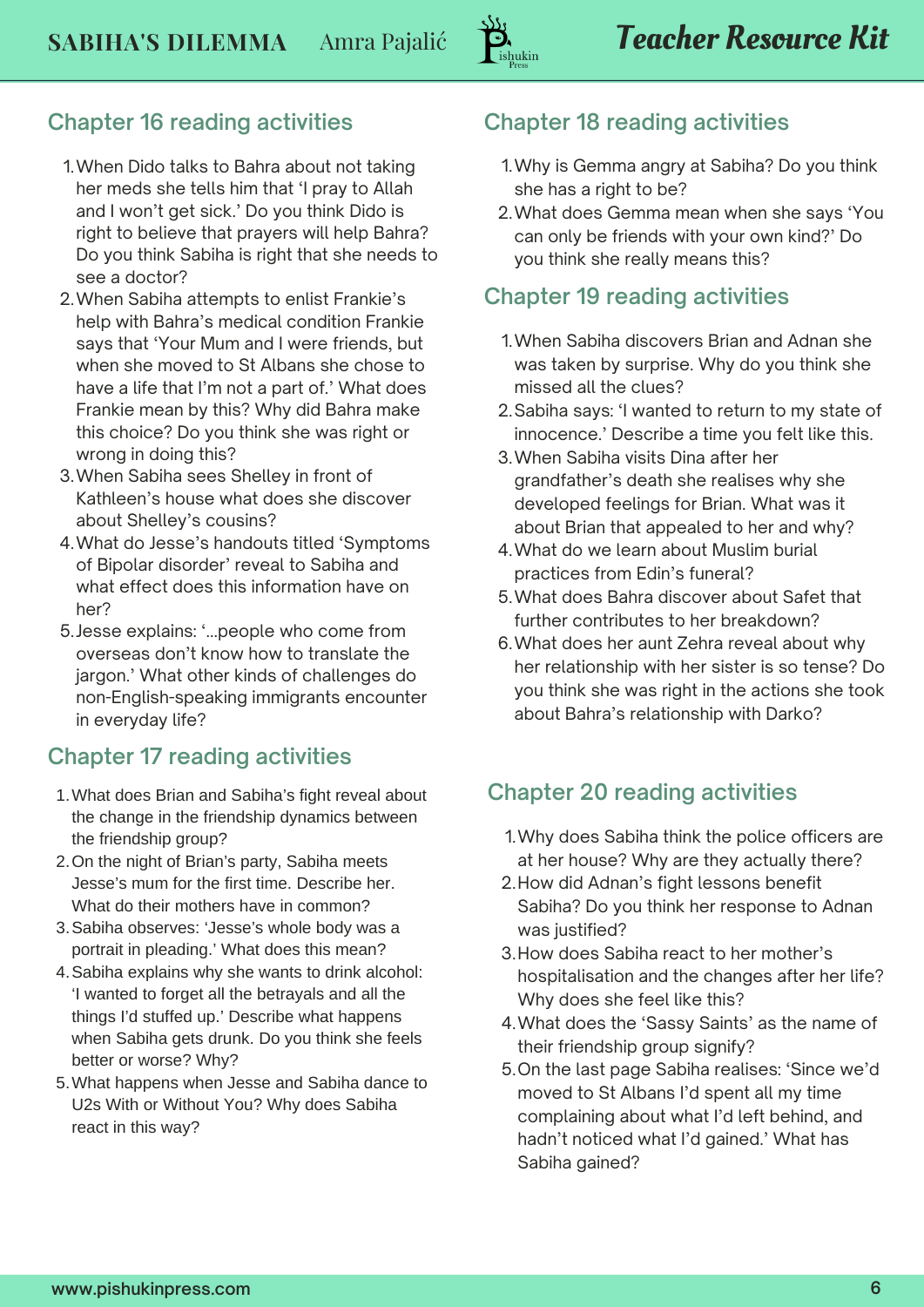### **Chapter 16 reading activities**

- When Dido talks to Bahra about not taking 1. her meds she tells him that 'I pray to Allah and I won't get sick.' Do you think Dido is right to believe that prayers will help Bahra? Do you think Sabiha is right that she needs to see a doctor?
- When Sabiha attempts to enlist Frankie's 2. help with Bahra's medical condition Frankie says that 'Your Mum and I were friends, but when she moved to St Albans she chose to have a life that I'm not a part of.' What does Frankie mean by this? Why did Bahra make this choice? Do you think she was right or wrong in doing this?
- When Sabiha sees Shelley in front of 3. Kathleen's house what does she discover about Shelley's cousins?
- What do Jesse's handouts titled 'Symptoms 4. of Bipolar disorder' reveal to Sabiha and what effect does this information have on her?
- 5. Jesse explains: '...people who come from overseas don't know how to translate the jargon.' What other kinds of challenges do non-English-speaking immigrants encounter in everyday life?

### **Chapter 17 reading activities**

- What does Brian and Sabiha's fight reveal about 1. the change in the friendship dynamics between the friendship group?
- 2. On the night of Brian's party, Sabiha meets Jesse's mum for the first time. Describe her. What do their mothers have in common?
- Sabiha observes: 'Jesse's whole body was a 3. portrait in pleading.' What does this mean?
- 4. Sabiha explains why she wants to drink alcohol: 'I wanted to forget all the betrayals and all the things I'd stuffed up.' Describe what happens when Sabiha gets drunk. Do you think she feels better or worse? Why?
- What happens when Jesse and Sabiha dance to 5. U2s With or Without You? Why does Sabiha react in this way?

### **Chapter 18 reading activities**

- Why is Gemma angry at Sabiha? Do you think 1. she has a right to be?
- What does Gemma mean when she says 'You 2. can only be friends with your own kind?' Do you think she really means this?

### **Chapter 19 reading activities**

- When Sabiha discovers Brian and Adnan she 1. was taken by surprise. Why do you think she missed all the clues?
- 2. Sabiha says: 'I wanted to return to my state of innocence.' Describe a time you felt like this.
- When Sabiha visits Dina after her 3. grandfather's death she realises why she developed feelings for Brian. What was it about Brian that appealed to her and why?
- What do we learn about Muslim burial 4. practices from Edin's funeral?
- What does Bahra discover about Safet that 5. further contributes to her breakdown?
- What does her aunt Zehra reveal about why 6. her relationship with her sister is so tense? Do you think she was right in the actions she took about Bahra's relationship with Darko?

## **Chapter 20 reading activities**

- Why does Sabiha think the police officers are 1. at her house? Why are they actually there?
- 2. How did Adnan's fight lessons benefit Sabiha? Do you think her response to Adnan was justified?
- 3. How does Sabiha react to her mother's hospitalisation and the changes after her life? Why does she feel like this?
- What does the 'Sassy Saints' as the name of 4. their friendship group signify?
- 5. On the last page Sabiha realises: 'Since we'd moved to St Albans I'd spent all my time complaining about what I'd left behind, and hadn't noticed what I'd gained.' What has Sabiha gained?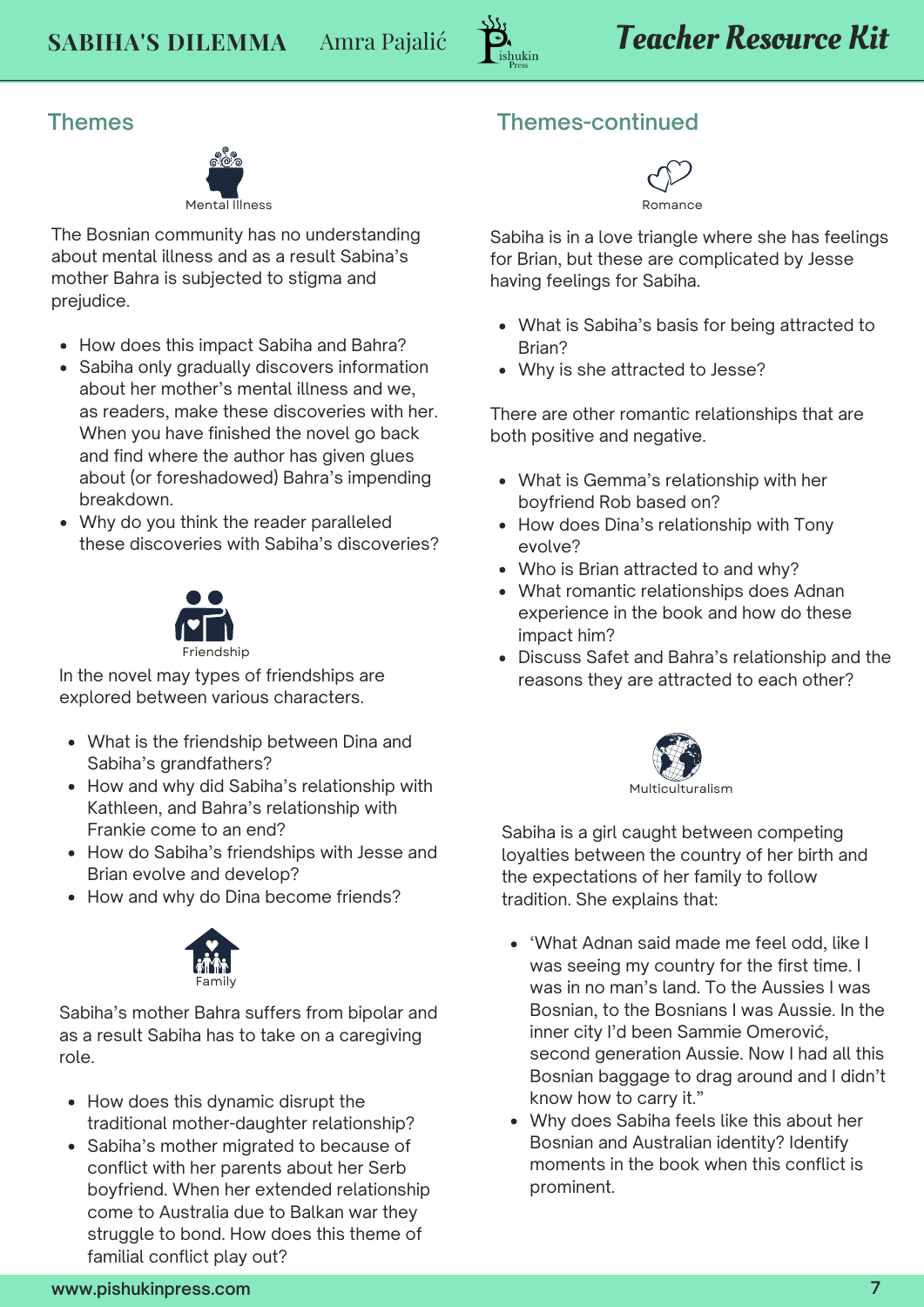

**Themes**



The Bosnian community has no understanding about mental illness and as a result Sabina's mother Bahra is subjected to stigma and prejudice.

- How does this impact Sabiha and Bahra?
- Sabiha only gradually discovers information about her mother's mental illness and we, as readers, make these discoveries with her. When you have finished the novel go back and find where the author has given glues about (or foreshadowed) Bahra's impending breakdown.
- Why do you think the reader paralleled these discoveries with Sabiha's discoveries?



In the novel may types of friendships are explored between various characters.

- What is the friendship between Dina and Sabiha's grandfathers?
- How and why did Sabiha's relationship with Kathleen, and Bahra's relationship with Frankie come to an end?
- How do Sabiha's friendships with Jesse and Brian evolve and develop?
- How and why do Dina become friends?



Sabiha's mother Bahra suffers from bipolar and as a result Sabiha has to take on a caregiving role.

- How does this dynamic disrupt the traditional mother-daughter relationship?
- Sabiha's mother migrated to because of conflict with her parents about her Serb boyfriend. When her extended relationship come to Australia due to Balkan war they struggle to bond. How does this theme of familial conflict play out?

#### **Themes-continued**



Sabiha is in a love triangle where she has feelings for Brian, but these are complicated by Jesse having feelings for Sabiha.

- What is Sabiha's basis for being attracted to Brian?
- Why is she attracted to Jesse?

There are other romantic relationships that are both positive and negative.

- What is Gemma's relationship with her boyfriend Rob based on?
- How does Dina's relationship with Tony evolve?
- Who is Brian attracted to and why?
- What romantic relationships does Adnan experience in the book and how do these impact him?
- Discuss Safet and Bahra's relationship and the reasons they are attracted to each other?



Sabiha is a girl caught between competing loyalties between the country of her birth and the expectations of her family to follow tradition. She explains that:

- 'What Adnan said made me feel odd, like I was seeing my country for the first time. I was in no man's land. To the Aussies I was Bosnian, to the Bosnians I was Aussie. In the inner city I'd been Sammie Omerović, second generation Aussie. Now I had all this Bosnian baggage to drag around and I didn't know how to carry it."
- Why does Sabiha feels like this about her Bosnian and Australian identity? Identify moments in the book when this conflict is prominent.